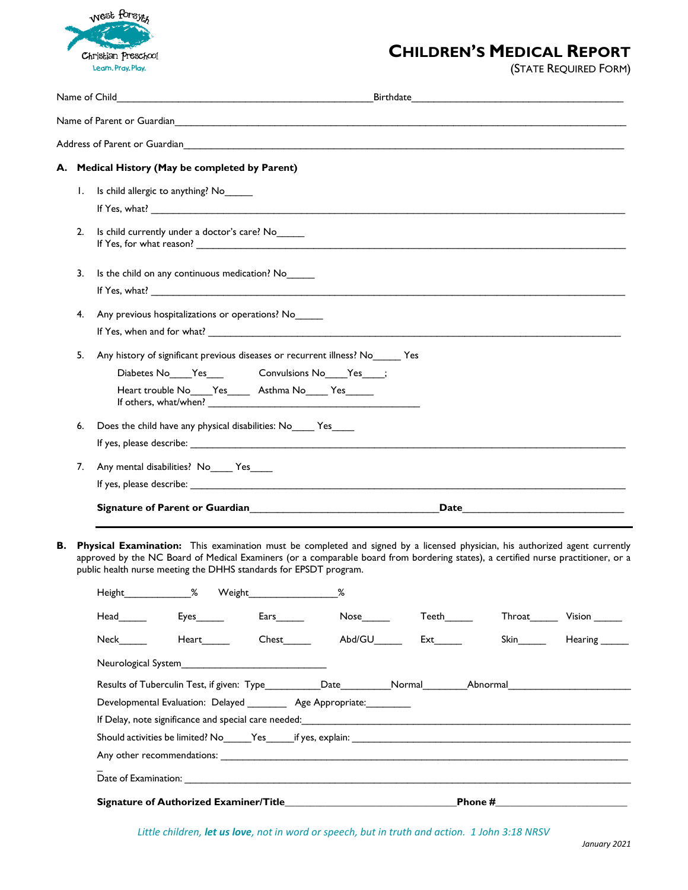

## **CHILDREN'S MEDICAL REPORT**

(STATE REQUIRED FORM)

|                                                                    |                                                                                                                             |                                                                                  |                                     |  |                                        | Address of Parent or Guardian Physical Communication of the Communication of the Communication of the Communication of the Communication of the Communication of the Communication of the Communication of the Communication o                                   |                                                                                                                                                                                                                                                           |  |  |  |
|--------------------------------------------------------------------|-----------------------------------------------------------------------------------------------------------------------------|----------------------------------------------------------------------------------|-------------------------------------|--|----------------------------------------|------------------------------------------------------------------------------------------------------------------------------------------------------------------------------------------------------------------------------------------------------------------|-----------------------------------------------------------------------------------------------------------------------------------------------------------------------------------------------------------------------------------------------------------|--|--|--|
|                                                                    |                                                                                                                             | A. Medical History (May be completed by Parent)                                  |                                     |  |                                        |                                                                                                                                                                                                                                                                  |                                                                                                                                                                                                                                                           |  |  |  |
| Ι.                                                                 |                                                                                                                             | Is child allergic to anything? No                                                |                                     |  |                                        |                                                                                                                                                                                                                                                                  |                                                                                                                                                                                                                                                           |  |  |  |
|                                                                    |                                                                                                                             |                                                                                  |                                     |  |                                        |                                                                                                                                                                                                                                                                  |                                                                                                                                                                                                                                                           |  |  |  |
| 2.                                                                 |                                                                                                                             | Is child currently under a doctor's care? No                                     |                                     |  |                                        |                                                                                                                                                                                                                                                                  |                                                                                                                                                                                                                                                           |  |  |  |
| 3.                                                                 |                                                                                                                             | Is the child on any continuous medication? No_                                   |                                     |  |                                        |                                                                                                                                                                                                                                                                  |                                                                                                                                                                                                                                                           |  |  |  |
|                                                                    |                                                                                                                             |                                                                                  |                                     |  |                                        |                                                                                                                                                                                                                                                                  |                                                                                                                                                                                                                                                           |  |  |  |
| 4.                                                                 | Any previous hospitalizations or operations? No                                                                             |                                                                                  |                                     |  |                                        |                                                                                                                                                                                                                                                                  |                                                                                                                                                                                                                                                           |  |  |  |
|                                                                    |                                                                                                                             |                                                                                  |                                     |  |                                        |                                                                                                                                                                                                                                                                  |                                                                                                                                                                                                                                                           |  |  |  |
| 5.                                                                 |                                                                                                                             | Any history of significant previous diseases or recurrent illness? No ______ Yes |                                     |  |                                        |                                                                                                                                                                                                                                                                  |                                                                                                                                                                                                                                                           |  |  |  |
|                                                                    | Diabetes No____Yes_______________Convulsions No____Yes_____;                                                                |                                                                                  |                                     |  |                                        |                                                                                                                                                                                                                                                                  |                                                                                                                                                                                                                                                           |  |  |  |
|                                                                    |                                                                                                                             | Heart trouble No____Yes______ Asthma No_____ Yes______                           |                                     |  |                                        |                                                                                                                                                                                                                                                                  |                                                                                                                                                                                                                                                           |  |  |  |
| Does the child have any physical disabilities: No ______ Yes<br>6. |                                                                                                                             |                                                                                  |                                     |  |                                        |                                                                                                                                                                                                                                                                  |                                                                                                                                                                                                                                                           |  |  |  |
|                                                                    |                                                                                                                             |                                                                                  |                                     |  |                                        |                                                                                                                                                                                                                                                                  |                                                                                                                                                                                                                                                           |  |  |  |
| 7.                                                                 |                                                                                                                             | Any mental disabilities? No_____ Yes_____                                        |                                     |  |                                        |                                                                                                                                                                                                                                                                  |                                                                                                                                                                                                                                                           |  |  |  |
|                                                                    |                                                                                                                             |                                                                                  |                                     |  |                                        |                                                                                                                                                                                                                                                                  |                                                                                                                                                                                                                                                           |  |  |  |
|                                                                    | Signature of Parent or Guardian<br>Signature of Parent or Guardian<br>${\bf Date} \hspace{.5cm} {\bf \small \textbf{Date}}$ |                                                                                  |                                     |  |                                        |                                                                                                                                                                                                                                                                  |                                                                                                                                                                                                                                                           |  |  |  |
|                                                                    |                                                                                                                             | public health nurse meeting the DHHS standards for EPSDT program.                |                                     |  |                                        | Physical Examination: This examination must be completed and signed by a licensed physician, his authorized agent currently<br>approved by the NC Board of Medical Examiners (or a comparable board from bordering states), a certified nurse practitioner, or a |                                                                                                                                                                                                                                                           |  |  |  |
|                                                                    | Height_                                                                                                                     | $\%$<br>Weight_                                                                  |                                     |  |                                        |                                                                                                                                                                                                                                                                  |                                                                                                                                                                                                                                                           |  |  |  |
|                                                                    |                                                                                                                             |                                                                                  | $Ears$ and $\overline{\phantom{a}}$ |  |                                        |                                                                                                                                                                                                                                                                  | Throat Vision                                                                                                                                                                                                                                             |  |  |  |
|                                                                    |                                                                                                                             | Heart                                                                            |                                     |  | Chest________  Abd/GU_______ Ext______ |                                                                                                                                                                                                                                                                  | Skin Bilder Hearing <sub>Skin</sub> Bilder Hearing <sub>Skin</sub> Bilder Hearing <sub>Skin</sub> Bilder Hearing Skin Bilder Hearing Skin Bilder Hearing Skin Bilder Hearing Skin Skin Bilder Hearing Skin Bilder Hearing Skin Bilder Hearing Skin Bilder |  |  |  |
|                                                                    |                                                                                                                             | Neurological System________________________________                              |                                     |  |                                        |                                                                                                                                                                                                                                                                  |                                                                                                                                                                                                                                                           |  |  |  |
|                                                                    |                                                                                                                             |                                                                                  |                                     |  |                                        | Results of Tuberculin Test, if given: Type___________Date__________Normal_________Abnormal____________________                                                                                                                                                   |                                                                                                                                                                                                                                                           |  |  |  |
|                                                                    | Developmental Evaluation: Delayed _________ Age Appropriate: ________                                                       |                                                                                  |                                     |  |                                        |                                                                                                                                                                                                                                                                  |                                                                                                                                                                                                                                                           |  |  |  |
|                                                                    |                                                                                                                             |                                                                                  |                                     |  |                                        |                                                                                                                                                                                                                                                                  |                                                                                                                                                                                                                                                           |  |  |  |
|                                                                    |                                                                                                                             |                                                                                  |                                     |  |                                        |                                                                                                                                                                                                                                                                  |                                                                                                                                                                                                                                                           |  |  |  |
|                                                                    |                                                                                                                             |                                                                                  |                                     |  |                                        |                                                                                                                                                                                                                                                                  |                                                                                                                                                                                                                                                           |  |  |  |
|                                                                    |                                                                                                                             |                                                                                  |                                     |  |                                        |                                                                                                                                                                                                                                                                  |                                                                                                                                                                                                                                                           |  |  |  |
|                                                                    |                                                                                                                             |                                                                                  |                                     |  |                                        |                                                                                                                                                                                                                                                                  |                                                                                                                                                                                                                                                           |  |  |  |

*Little children, let us love, not in word or speech, but in truth and action. 1 John 3:18 NRSV*